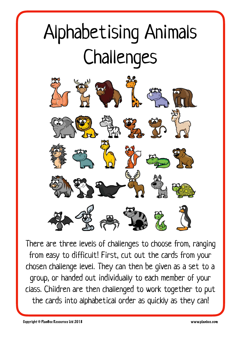# Alphabetising Animals Challenges



There are three levels of challenges to choose from, ranging from easy to difficult! First, cut out the cards from your chosen challenge level. They can then be given as a set to a group, or handed out individually to each member of your class. Children are then challenged to work together to put the cards into alphabetical order as quickly as they can!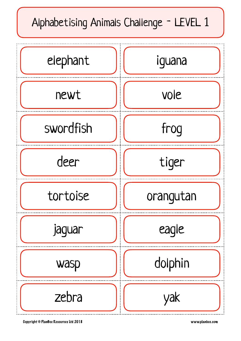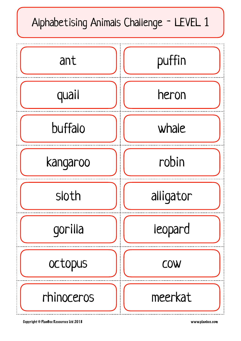# Alphabetising Animals Challenge - LEVEL 1

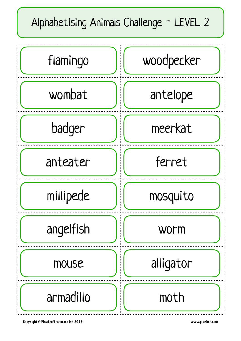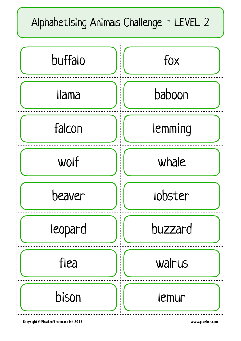## Alphabetising Animals Challenge - LEVEL 2

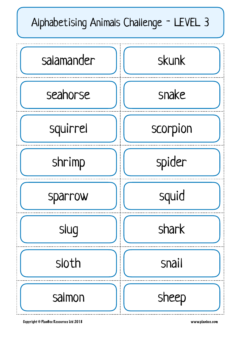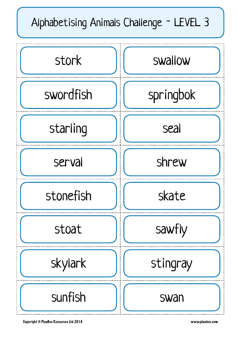